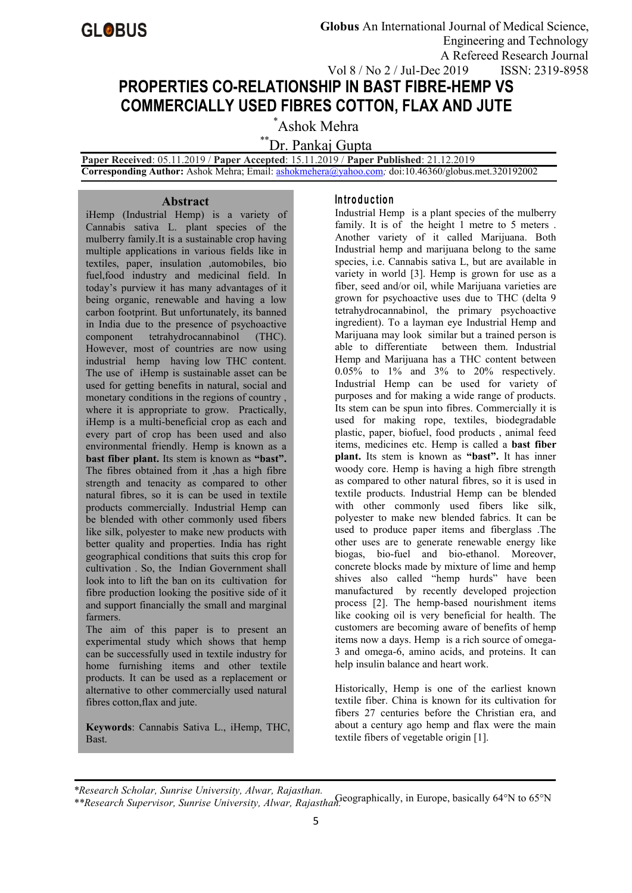# **PROPERTIES CO-RELATIONSHIP IN BAST FIBRE-HEMP VS COMMERCIALLY USED FIBRES COTTON, FLAX AND JUTE**

\*Ashok Mehra

\*\*Dr. Pankaj Gupta

**Paper Received**: 05.11.2019 / **Paper Accepted**: 15.11.2019 / **Paper Published**: 21.12.2019 **Corresponding Author:** Ashok Mehra; Email: [ashokmehera@yahoo.com](mailto:ashokmehera@yahoo.com)*;* doi:10.46360/globus.met.320192002

**Abstract**

iHemp (Industrial Hemp) is a variety of Cannabis sativa L. plant species of the mulberry family.It is a sustainable crop having multiple applications in various fields like in textiles, paper, insulation ,automobiles, bio fuel,food industry and medicinal field. In today's purview it has many advantages of it being organic, renewable and having a low carbon footprint. But unfortunately, its banned in India due to the presence of [psychoactive](https://en.wikipedia.org/wiki/Psychoactive) component [tetrahydrocannabinol](https://en.wikipedia.org/wiki/Tetrahydrocannabinol) (THC). However, most of countries are now using industrial hemp having low THC content. The use of iHemp is sustainable asset can be used for getting benefits in natural, social and monetary conditions in the regions of country , where it is appropriate to grow. Practically, iHemp is a multi-beneficial crop as each and every part of crop has been used and also environmental friendly. Hemp is known as a **bast fiber plant.** Its stem is known as **"bast".** The fibres obtained from it ,has a high fibre strength and tenacity as compared to other natural fibres, so it is can be used in textile products commercially. Industrial Hemp can be blended with other commonly used fibers like silk, polyester to make new products with better quality and properties. India has right geographical conditions that suits this crop for cultivation . So, the Indian Government shall look into to lift the ban on its cultivation for fibre production looking the positive side of it and support financially the small and marginal farmers.

The aim of this paper is to present an experimental study which shows that hemp can be successfully used in textile industry for home furnishing items and other textile products. It can be used as a replacement or alternative to other commercially used natural fibres cotton,flax and jute.

**Keywords**: Cannabis Sativa L., iHemp, THC, Bast.

## **In tro d u c tio n**

Industrial Hemp is a plant species of the mulberry family. It is of the height 1 metre to 5 meters. Another variety of it called Marijuana. Both Industrial hemp and marijuana belong to the same species, i.e. Cannabis sativa L, but are available in variety in world [3]. Hemp is grown for use as a fiber, seed and/or oil, while Marijuana varieties are grown for psychoactive uses due to THC (delta 9 tetrahydrocannabinol, the primary psychoactive ingredient). To a layman eye Industrial Hemp and Marijuana may look similar but a trained person is able to differentiate between them. Industrial Hemp and Marijuana has a THC content between 0.05% to 1% and 3% to 20% respectively. Industrial Hemp can be used for variety of purposes and for making a wide range of products. Its stem can be spun into fibres. Commercially it is used for making rope, textiles, biodegradable plastic, paper, biofuel, food products , animal feed items, medicines etc. Hemp is called a **bast fiber plant.** Its stem is known as **"bast".** It has inner woody core. Hemp is having a high fibre strength as compared to other natural fibres, so it is used in textile products. Industrial Hemp can be blended with other commonly used fibers like silk, polyester to make new blended fabrics. It can be used to produce paper items and fiberglass .The other uses are to generate renewable energy like biogas, bio-fuel and bio-ethanol. Moreover, concrete blocks made by mixture of lime and hemp shives also called "hemp hurds" have been manufactured by recently developed projection process [2]. The hemp-based nourishment items like cooking oil is very beneficial for health. The customers are becoming aware of benefits of hemp items now a days. Hemp is a rich source of omega- 3 and omega-6, amino acids, and proteins. It can help insulin balance and heart work.

Historically, Hemp is one of the earliest known textile fiber. China is known for its cultivation for fibers 27 centuries before the Christian era, and about a century ago hemp and flax were the main textile fibers of vegetable origin [1].

Geographically, in Europe, basically 64°N to 65°N *\*Research Scholar, Sunrise University, Alwar, Rajasthan. \*\*Research Supervisor, Sunrise University, Alwar, Rajasthan.*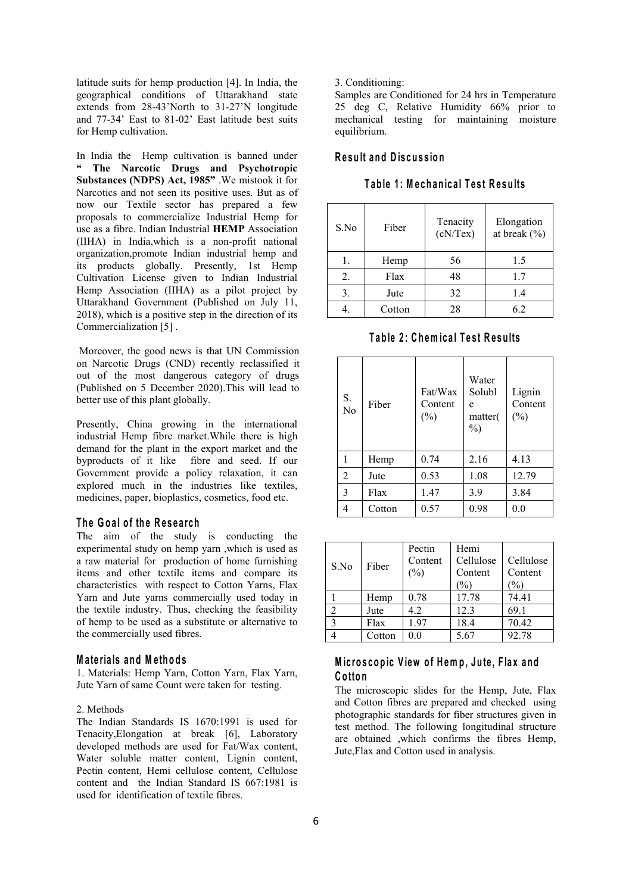latitude suits for hemp production [4]. In India, the geographical conditions of Uttarakhand state extends from 28-43'North to 31-27'N longitude and 77-34' East to 81-02'East latitude best suits for Hemp cultivation.

In India the Hemp cultivation is banned under **" The Narcotic Drugs and Psychotropic Substances (NDPS) Act, 1985"** .We mistook it for Narcotics and not seen its positive uses. But as of now our Textile sector has prepared a few proposals to commercialize Industrial Hemp for use as a fibre. Indian Industrial **HEMP** Association (IIHA) in India,which is a non-profit national organization,promote Indian industrial hemp and its products globally. Presently, 1st Hemp Cultivation License given to Indian Industrial Hemp Association (IIHA) as a pilot project by Uttarakhand Government (Published on July 11, 2018), which is a positive step in the direction of its Commercialization [5] .

Moreover, the good news is that UN Commission on Narcotic Drugs (CND) recently reclassified it out of the most dangerous category of drugs (Published on 5 December 2020).This will lead to better use of this plant globally.

Presently, China growing in the international industrial Hemp fibre market.While there is high demand for the plant in the export market and the byproducts of it like fibre and seed. If our Government provide a policy relaxation, it can explored much in the industries like textiles, medicines, paper, bioplastics, cosmetics, food etc.

#### **T h e G o a l o f th e R e s e a rch**

The aim of the study is conducting the experimental study on hemp yarn ,which is used as a raw material for production of home furnishing items and other textile items and compare its characteristics with respect to Cotton Yarns, Flax Yarn and Jute yarns commercially used today in the textile industry. Thus, checking the feasibility of hemp to be used as a substitute or alternative to the commercially used fibres.

#### **M a te ria ls an d M e th o d s**

1. Materials: Hemp Yarn, Cotton Yarn, Flax Yarn, Jute Yarn of same Count were taken for testing.

#### 2. Methods

The Indian Standards IS 1670:1991 is used for Tenacity,Elongation at break [6], Laboratory developed methods are used for Fat/Wax content, Water soluble matter content, Lignin content, Pectin content, Hemi cellulose content, Cellulose content and the Indian Standard IS 667:1981 is used for identification of textile fibres.

#### 3. Conditioning:

Samples are Conditioned for 24 hrs in Temperature 25 deg C, Relative Humidity 66% prior to mechanical testing for maintaining moisture equilibrium.

## **R e su lt an d D is cu s s io n**

**T ab le 1: M e ch an ic a l T e s t R e su lts**

| S.No | Fiber  | Tenacity<br>(cN/Text) | Elongation<br>at break $(\% )$ |
|------|--------|-----------------------|--------------------------------|
| 1.   | Hemp   | 56                    | 1.5                            |
| 2.   | Flax   | 48                    | 1.7                            |
| 3.   | Jute   | 32                    | 1.4                            |
| 4.   | Cotton | 28                    | 6.2                            |

**T ab le 2 : C h em ic a l T e s t R e su lts**

| S.<br>No | Fiber  | Fat/Wax<br>Content<br>$(\%)$ | Water<br>Solubl<br>e<br>matter(<br>$\%$ ) | Lignin<br>Content<br>$(\%)$ |
|----------|--------|------------------------------|-------------------------------------------|-----------------------------|
| 1        | Hemp   | 0.74                         | 2.16                                      | 4.13                        |
| 2        | Jute   | 0.53                         | 1.08                                      | 12.79                       |
| 3        | Flax   | 1.47                         | 3.9                                       | 3.84                        |
| 4        | Cotton | 0.57                         | 0.98                                      | 0.0                         |

| S.No | Fiber  | Pectin  | Hemi      |               |
|------|--------|---------|-----------|---------------|
|      |        | Content | Cellulose | Cellulose     |
|      |        | $(\%)$  | Content   | Content       |
|      |        |         | $\%$      | $\frac{1}{2}$ |
|      | Hemp   | 0.78    | 17.78     | 74.41         |
|      | Jute   | 4.2     | 12.3      | 69.1          |
|      | Flax   | 1.97    | 18.4      | 70.42         |
|      | Cotton | 0.0     | 5.67      | 92.78         |

## **M ic ro s co p ic V iew o f H em p , Ju te , F la x an d C o tto n**

The microscopic slides for the Hemp, Jute, Flax and Cotton fibres are prepared and checked using photographic standards for fiber structures given in test method. The following longitudinal structure are obtained ,which confirms the fibres Hemp, Jute,Flax and Cotton used in analysis.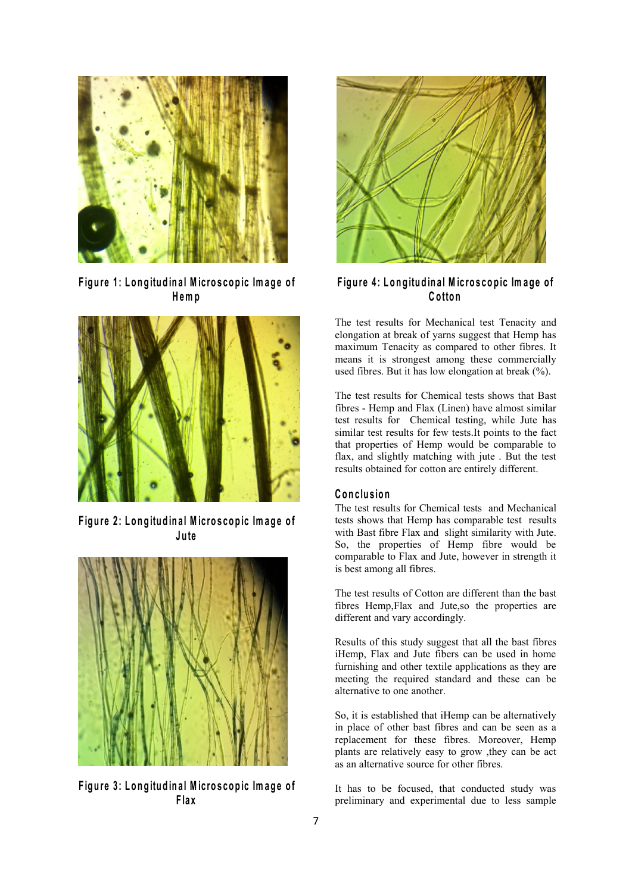

Figure 1: Longitudinal Microscopic Image of **H em p**



Figure 2: Longitudinal Microscopic Image of **Ju te**



Figure 3: Longitudinal Microscopic Image of **F la x**



Figure 4: Longitudinal Microscopic Image of **C o tto n**

The test results for Mechanical test Tenacity and elongation at break of yarns suggest that Hemp has maximum Tenacity as compared to other fibres. It means it is strongest among these commercially used fibres. But it has low elongation at break (%).

The test results for Chemical tests shows that Bast fibres - Hemp and Flax (Linen) have almost similar test results for Chemical testing, while Jute has similar test results for few tests.It points to the fact that properties of Hemp would be comparable to flax, and slightly matching with jute . But the test results obtained for cotton are entirely different.

### $C$  **onclusion**

The test results for Chemical tests and Mechanical tests shows that Hemp has comparable test results with Bast fibre Flax and slight similarity with Jute. So, the properties of Hemp fibre would be comparable to Flax and Jute, however in strength it is best among all fibres.

The test results of Cotton are different than the bast fibres Hemp,Flax and Jute,so the properties are different and vary accordingly.

Results of this study suggest that all the bast fibres iHemp, Flax and Jute fibers can be used in home furnishing and other textile applications as they are meeting the required standard and these can be alternative to one another.

So, it is established that iHemp can be alternatively in place of other bast fibres and can be seen as a replacement for these fibres. Moreover, Hemp plants are relatively easy to grow ,they can be act as an alternative source for other fibres.

It has to be focused, that conducted study was preliminary and experimental due to less sample